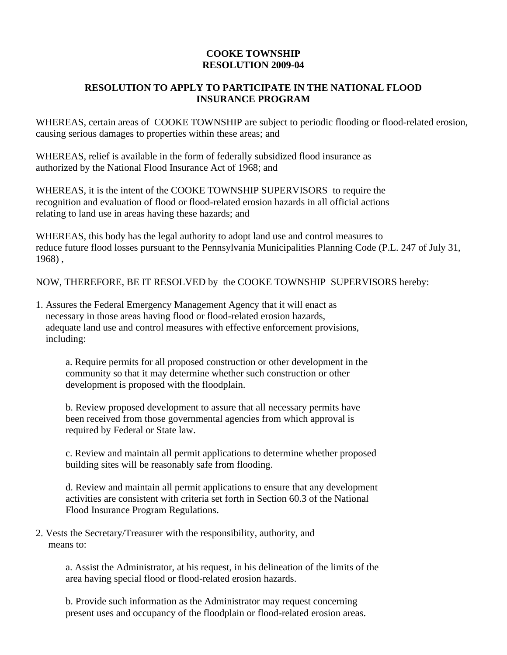## **COOKE TOWNSHIP RESOLUTION 2009-04**

## **RESOLUTION TO APPLY TO PARTICIPATE IN THE NATIONAL FLOOD INSURANCE PROGRAM**

WHEREAS, certain areas of COOKE TOWNSHIP are subject to periodic flooding or flood-related erosion, causing serious damages to properties within these areas; and

WHEREAS, relief is available in the form of federally subsidized flood insurance as authorized by the National Flood Insurance Act of 1968; and

WHEREAS, it is the intent of the COOKE TOWNSHIP SUPERVISORS to require the recognition and evaluation of flood or flood-related erosion hazards in all official actions relating to land use in areas having these hazards; and

WHEREAS, this body has the legal authority to adopt land use and control measures to reduce future flood losses pursuant to the Pennsylvania Municipalities Planning Code (P.L. 247 of July 31, 1968) ,

NOW, THEREFORE, BE IT RESOLVED by the COOKE TOWNSHIP SUPERVISORS hereby:

1. Assures the Federal Emergency Management Agency that it will enact as necessary in those areas having flood or flood-related erosion hazards, adequate land use and control measures with effective enforcement provisions, including:

a. Require permits for all proposed construction or other development in the community so that it may determine whether such construction or other development is proposed with the floodplain.

b. Review proposed development to assure that all necessary permits have been received from those governmental agencies from which approval is required by Federal or State law.

c. Review and maintain all permit applications to determine whether proposed building sites will be reasonably safe from flooding.

d. Review and maintain all permit applications to ensure that any development activities are consistent with criteria set forth in Section 60.3 of the National Flood Insurance Program Regulations.

2. Vests the Secretary/Treasurer with the responsibility, authority, and means to:

> a. Assist the Administrator, at his request, in his delineation of the limits of the area having special flood or flood-related erosion hazards.

b. Provide such information as the Administrator may request concerning present uses and occupancy of the floodplain or flood-related erosion areas.